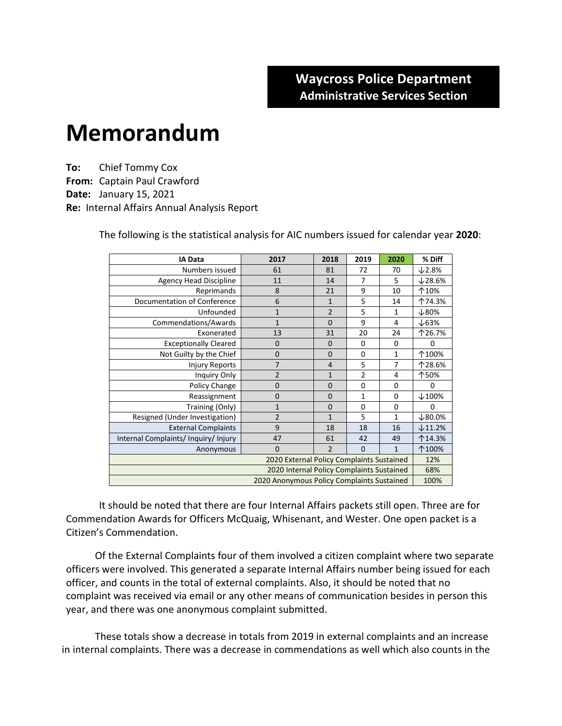## **Memorandum**

**To:** Chief Tommy Cox **From:** Captain Paul Crawford **Date:** January 15, 2021 **Re:** Internal Affairs Annual Analysis Report

| <b>IA Data</b>                             | 2017           | 2018                     | 2019           | 2020         | % Diff            |  |  |  |
|--------------------------------------------|----------------|--------------------------|----------------|--------------|-------------------|--|--|--|
| Numbers issued                             | 61             | 81                       | 72             | 70           | $\times$ 2.8%     |  |  |  |
| <b>Agency Head Discipline</b>              | 11             | 14                       | 7              | 5            | $\times$ 28.6%    |  |  |  |
| Reprimands                                 | 8              | 21                       | 9              | 10           | 个10%              |  |  |  |
| Documentation of Conference                | 6              | $\mathbf{1}$             | 5              | 14           | 个74.3%            |  |  |  |
| Unfounded                                  | $\mathbf{1}$   | $\overline{2}$<br>5<br>1 |                |              | $\downarrow$ 80%  |  |  |  |
| Commendations/Awards                       | $\mathbf{1}$   | 9<br>$\Omega$            |                | 4            | $\downarrow$ 63%  |  |  |  |
| Exonerated                                 | 13             | 31<br>20                 |                | 24           | 个26.7%            |  |  |  |
| <b>Exceptionally Cleared</b>               | $\mathbf 0$    | $\mathbf 0$              | 0              | 0            | $\Omega$          |  |  |  |
| Not Guilty by the Chief                    | $\mathbf 0$    | $\mathbf 0$              | 0              | $\mathbf{1}$ | 个100%             |  |  |  |
| <b>Injury Reports</b>                      | 7              | 4                        | 5              | 7            | 个28.6%            |  |  |  |
| Inquiry Only                               | $\overline{2}$ | $\mathbf{1}$             | $\overline{2}$ | 4            | 个50%              |  |  |  |
| Policy Change                              | $\Omega$       | 0                        | 0              | $\Omega$     | $\Omega$          |  |  |  |
| Reassignment                               | $\Omega$       | $\Omega$                 | $\mathbf{1}$   | $\Omega$     | $\downarrow$ 100% |  |  |  |
| Training (Only)                            | 1              | $\mathbf 0$              | 0              | 0            | 0                 |  |  |  |
| Resigned (Under Investigation)             | $\overline{2}$ | $\mathbf{1}$             | 5              | 1            | $\times$ 80.0%    |  |  |  |
| <b>External Complaints</b>                 | 9              | 18                       | 18             | 16           | $\times$ 11.2%    |  |  |  |
| Internal Complaints/Inquiry/Injury         | 47             | 61                       | 42             | 49           | 个14.3%            |  |  |  |
| Anonymous                                  | $\mathbf 0$    | $\overline{2}$           | $\mathbf 0$    | $\mathbf{1}$ | 个100%             |  |  |  |
| 2020 External Policy Complaints Sustained  |                |                          |                |              |                   |  |  |  |
| 2020 Internal Policy Complaints Sustained  |                |                          |                |              |                   |  |  |  |
| 2020 Anonymous Policy Complaints Sustained |                |                          |                |              |                   |  |  |  |

The following is the statistical analysis for AIC numbers issued for calendar year **2020**:

It should be noted that there are four Internal Affairs packets still open. Three are for Commendation Awards for Officers McQuaig, Whisenant, and Wester. One open packet is a Citizen's Commendation.

Of the External Complaints four of them involved a citizen complaint where two separate officers were involved. This generated a separate Internal Affairs number being issued for each officer, and counts in the total of external complaints. Also, it should be noted that no complaint was received via email or any other means of communication besides in person this year, and there was one anonymous complaint submitted.

These totals show a decrease in totals from 2019 in external complaints and an increase in internal complaints. There was a decrease in commendations as well which also counts in the